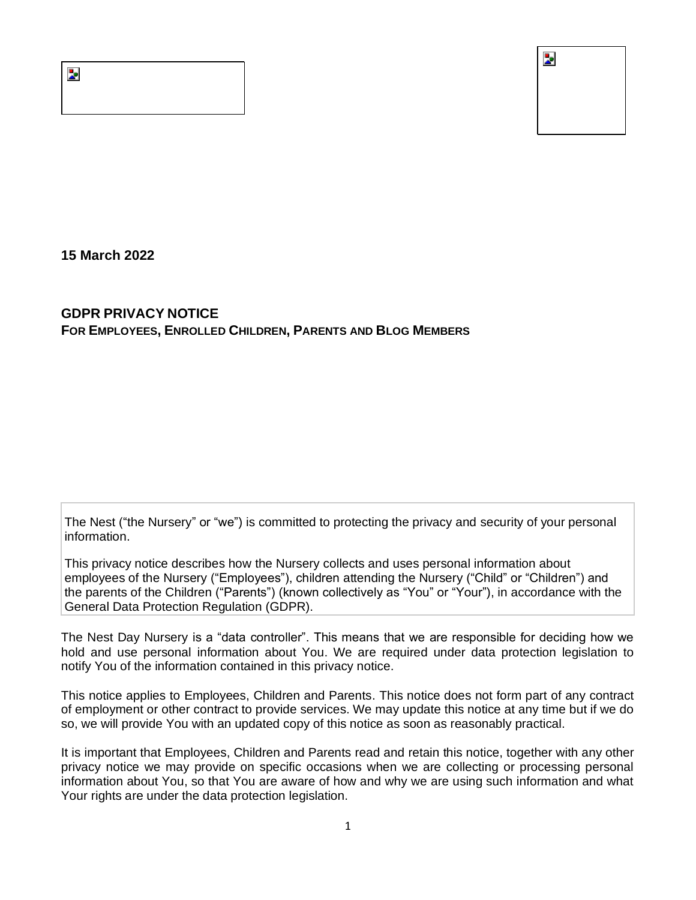Z.



**15 March 2022**

# **GDPR PRIVACY NOTICE FOR EMPLOYEES, ENROLLED CHILDREN, PARENTS AND BLOG MEMBERS**

The Nest ("the Nursery" or "we") is committed to protecting the privacy and security of your personal information.

This privacy notice describes how the Nursery collects and uses personal information about employees of the Nursery ("Employees"), children attending the Nursery ("Child" or "Children") and the parents of the Children ("Parents") (known collectively as "You" or "Your"), in accordance with the General Data Protection Regulation (GDPR).

The Nest Day Nursery is a "data controller". This means that we are responsible for deciding how we hold and use personal information about You. We are required under data protection legislation to notify You of the information contained in this privacy notice.

This notice applies to Employees, Children and Parents. This notice does not form part of any contract of employment or other contract to provide services. We may update this notice at any time but if we do so, we will provide You with an updated copy of this notice as soon as reasonably practical.

It is important that Employees, Children and Parents read and retain this notice, together with any other privacy notice we may provide on specific occasions when we are collecting or processing personal information about You, so that You are aware of how and why we are using such information and what Your rights are under the data protection legislation.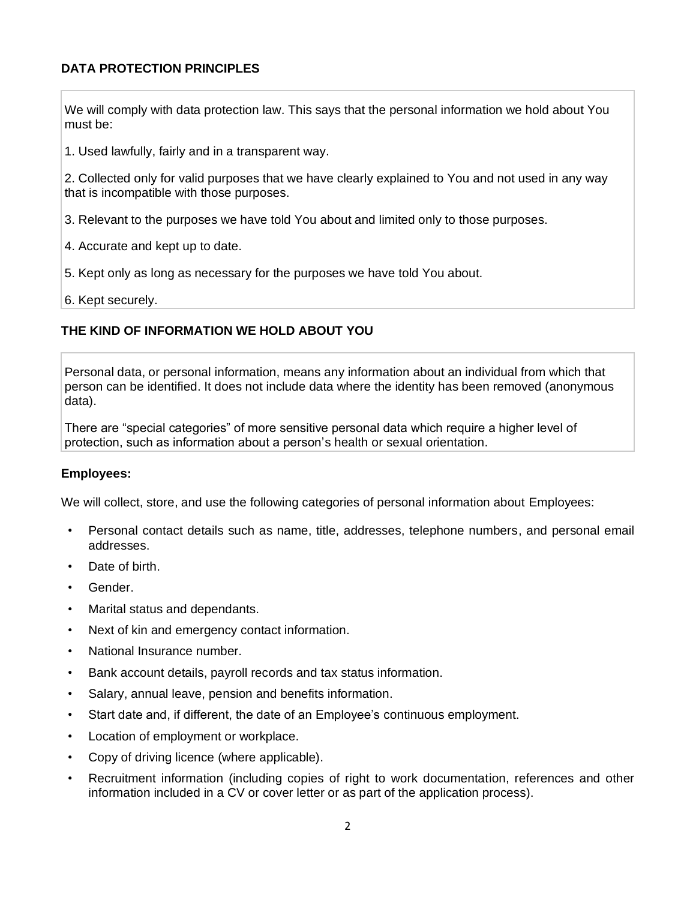# **DATA PROTECTION PRINCIPLES**

We will comply with data protection law. This says that the personal information we hold about You must be:

1. Used lawfully, fairly and in a transparent way.

2. Collected only for valid purposes that we have clearly explained to You and not used in any way that is incompatible with those purposes.

- 3. Relevant to the purposes we have told You about and limited only to those purposes.
- 4. Accurate and kept up to date.
- 5. Kept only as long as necessary for the purposes we have told You about.
- 6. Kept securely.

# <span id="page-1-0"></span>**THE KIND OF INFORMATION WE HOLD ABOUT YOU**

Personal data, or personal information, means any information about an individual from which that person can be identified. It does not include data where the identity has been removed (anonymous data).

There are "special categories" of more sensitive personal data which require a higher level of protection, such as information about a person's health or sexual orientation.

### **Employees:**

We will collect, store, and use the following categories of personal information about Employees:

- Personal contact details such as name, title, addresses, telephone numbers, and personal email addresses.
- Date of birth.
- Gender.
- Marital status and dependants.
- Next of kin and emergency contact information.
- National Insurance number.
- Bank account details, payroll records and tax status information.
- Salary, annual leave, pension and benefits information.
- Start date and, if different, the date of an Employee's continuous employment.
- Location of employment or workplace.
- Copy of driving licence (where applicable).
- Recruitment information (including copies of right to work documentation, references and other information included in a CV or cover letter or as part of the application process).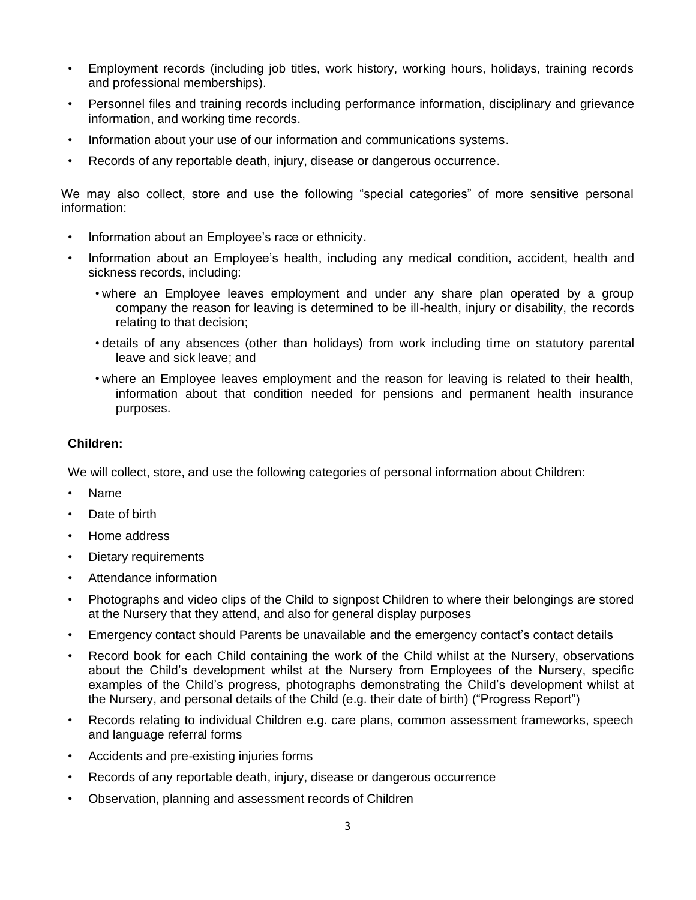- Employment records (including job titles, work history, working hours, holidays, training records and professional memberships).
- Personnel files and training records including performance information, disciplinary and grievance information, and working time records.
- Information about your use of our information and communications systems.
- Records of any reportable death, injury, disease or dangerous occurrence.

We may also collect, store and use the following "special categories" of more sensitive personal information:

- Information about an Employee's race or ethnicity.
- Information about an Employee's health, including any medical condition, accident, health and sickness records, including:
	- where an Employee leaves employment and under any share plan operated by a group company the reason for leaving is determined to be ill-health, injury or disability, the records relating to that decision;
	- details of any absences (other than holidays) from work including time on statutory parental leave and sick leave; and
	- where an Employee leaves employment and the reason for leaving is related to their health, information about that condition needed for pensions and permanent health insurance purposes.

## **Children:**

We will collect, store, and use the following categories of personal information about Children:

- Name
- Date of birth
- Home address
- Dietary requirements
- Attendance information
- Photographs and video clips of the Child to signpost Children to where their belongings are stored at the Nursery that they attend, and also for general display purposes
- Emergency contact should Parents be unavailable and the emergency contact's contact details
- Record book for each Child containing the work of the Child whilst at the Nursery, observations about the Child's development whilst at the Nursery from Employees of the Nursery, specific examples of the Child's progress, photographs demonstrating the Child's development whilst at the Nursery, and personal details of the Child (e.g. their date of birth) ("Progress Report")
- Records relating to individual Children e.g. care plans, common assessment frameworks, speech and language referral forms
- Accidents and pre-existing injuries forms
- Records of any reportable death, injury, disease or dangerous occurrence
- Observation, planning and assessment records of Children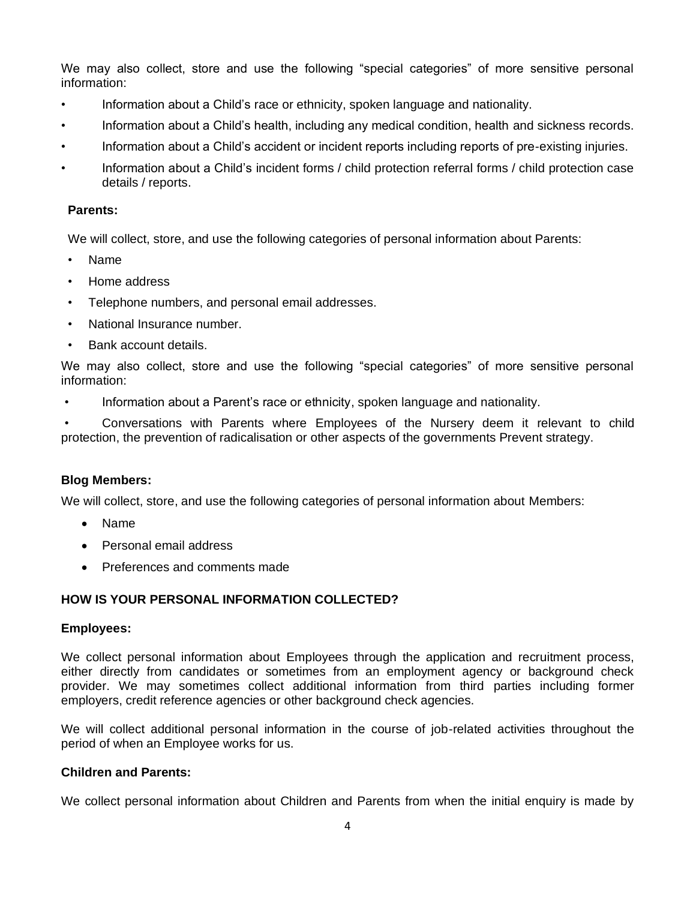We may also collect, store and use the following "special categories" of more sensitive personal information:

- Information about a Child's race or ethnicity, spoken language and nationality.
- Information about a Child's health, including any medical condition, health and sickness records.
- Information about a Child's accident or incident reports including reports of pre-existing injuries.
- Information about a Child's incident forms / child protection referral forms / child protection case details / reports.

## **Parents:**

We will collect, store, and use the following categories of personal information about Parents:

- Name
- Home address
- Telephone numbers, and personal email addresses.
- National Insurance number.
- Bank account details.

We may also collect, store and use the following "special categories" of more sensitive personal information:

• Information about a Parent's race or ethnicity, spoken language and nationality.

• Conversations with Parents where Employees of the Nursery deem it relevant to child protection, the prevention of radicalisation or other aspects of the governments Prevent strategy.

### **Blog Members:**

We will collect, store, and use the following categories of personal information about Members:

- Name
- Personal email address
- Preferences and comments made

# **HOW IS YOUR PERSONAL INFORMATION COLLECTED?**

### **Employees:**

We collect personal information about Employees through the application and recruitment process, either directly from candidates or sometimes from an employment agency or background check provider. We may sometimes collect additional information from third parties including former employers, credit reference agencies or other background check agencies.

We will collect additional personal information in the course of job-related activities throughout the period of when an Employee works for us.

### **Children and Parents:**

We collect personal information about Children and Parents from when the initial enquiry is made by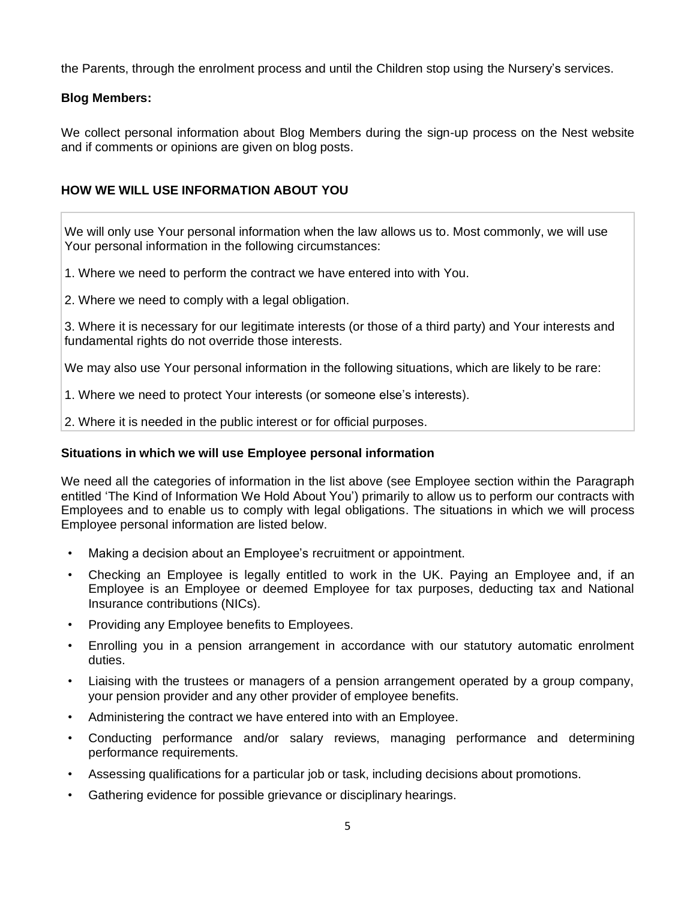the Parents, through the enrolment process and until the Children stop using the Nursery's services.

# **Blog Members:**

We collect personal information about Blog Members during the sign-up process on the Nest website and if comments or opinions are given on blog posts.

# **HOW WE WILL USE INFORMATION ABOUT YOU**

We will only use Your personal information when the law allows us to. Most commonly, we will use Your personal information in the following circumstances:

- 1. Where we need to perform the contract we have entered into with You.
- 2. Where we need to comply with a legal obligation.

3. Where it is necessary for our legitimate interests (or those of a third party) and Your interests and fundamental rights do not override those interests.

We may also use Your personal information in the following situations, which are likely to be rare:

- 1. Where we need to protect Your interests (or someone else's interests).
- 2. Where it is needed in the public interest or for official purposes.

## **Situations in which we will use Employee personal information**

We need all the categories of information in the list above (see Employee section within the [Paragraph](#page-1-0) entitled 'The Kind of Information We Hold About You') primarily to allow us to perform our contracts with Employees and to enable us to comply with legal obligations. The situations in which we will process Employee personal information are listed below.

- Making a decision about an Employee's recruitment or appointment.
- Checking an Employee is legally entitled to work in the UK. Paying an Employee and, if an Employee is an Employee or deemed Employee for tax purposes, deducting tax and National Insurance contributions (NICs).
- Providing any Employee benefits to Employees.
- Enrolling you in a pension arrangement in accordance with our statutory automatic enrolment duties.
- Liaising with the trustees or managers of a pension arrangement operated by a group company, your pension provider and any other provider of employee benefits.
- Administering the contract we have entered into with an Employee.
- Conducting performance and/or salary reviews, managing performance and determining performance requirements.
- Assessing qualifications for a particular job or task, including decisions about promotions.
- Gathering evidence for possible grievance or disciplinary hearings.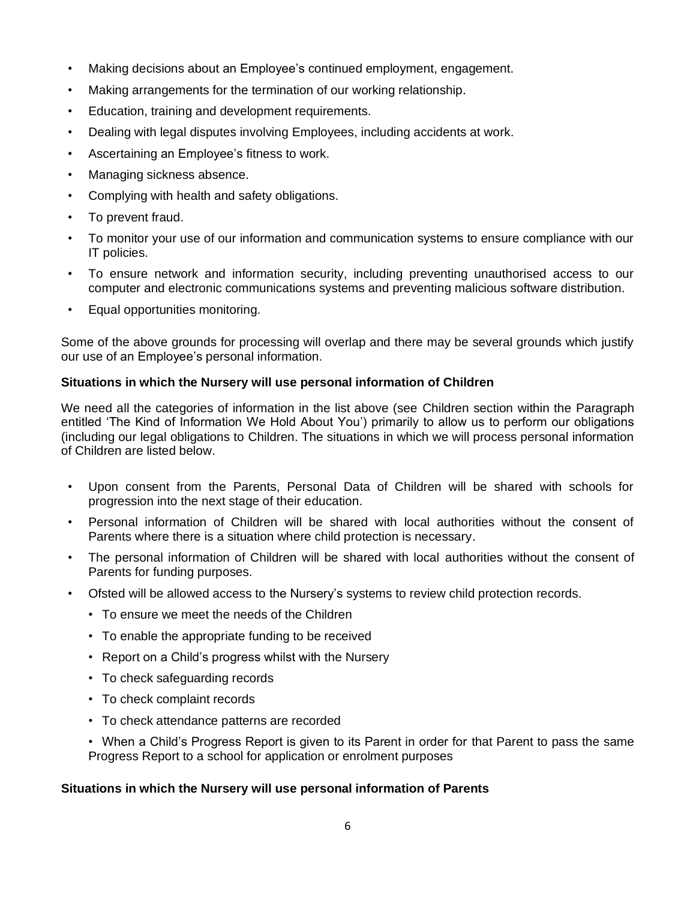- Making decisions about an Employee's continued employment, engagement.
- Making arrangements for the termination of our working relationship.
- Education, training and development requirements.
- Dealing with legal disputes involving Employees, including accidents at work.
- Ascertaining an Employee's fitness to work.
- Managing sickness absence.
- Complying with health and safety obligations.
- To prevent fraud.
- To monitor your use of our information and communication systems to ensure compliance with our IT policies.
- To ensure network and information security, including preventing unauthorised access to our computer and electronic communications systems and preventing malicious software distribution.
- Equal opportunities monitoring.

Some of the above grounds for processing will overlap and there may be several grounds which justify our use of an Employee's personal information.

# **Situations in which the Nursery will use personal information of Children**

We need all the categories of information in the list above (see Children section within the Paragraph entitled 'The Kind of Information We Hold About You') primarily to allow us to perform our obligations (including our legal obligations to Children. The situations in which we will process personal information of Children are listed below.

- Upon consent from the Parents, Personal Data of Children will be shared with schools for progression into the next stage of their education.
- Personal information of Children will be shared with local authorities without the consent of Parents where there is a situation where child protection is necessary.
- The personal information of Children will be shared with local authorities without the consent of Parents for funding purposes.
- Ofsted will be allowed access to the Nursery's systems to review child protection records.
	- To ensure we meet the needs of the Children
	- To enable the appropriate funding to be received
	- Report on a Child's progress whilst with the Nursery
	- To check safeguarding records
	- To check complaint records
	- To check attendance patterns are recorded
	- When a Child's Progress Report is given to its Parent in order for that Parent to pass the same Progress Report to a school for application or enrolment purposes

# **Situations in which the Nursery will use personal information of Parents**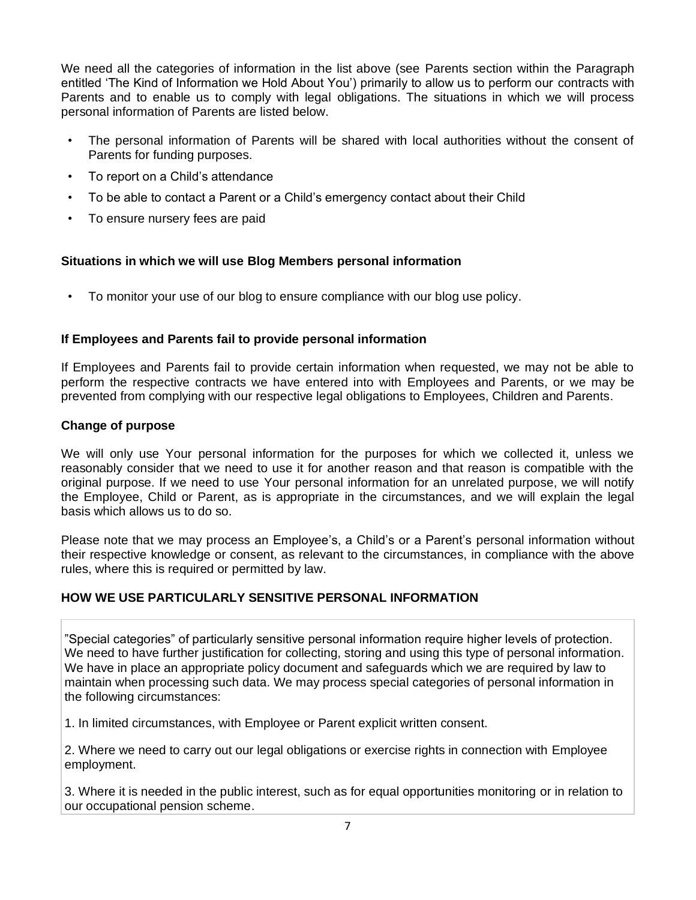We need all the categories of information in the list above (see Parents section within the Paragraph entitled 'The Kind of Information we Hold About You') primarily to allow us to perform our contracts with Parents and to enable us to comply with legal obligations. The situations in which we will process personal information of Parents are listed below.

- The personal information of Parents will be shared with local authorities without the consent of Parents for funding purposes.
- To report on a Child's attendance
- To be able to contact a Parent or a Child's emergency contact about their Child
- To ensure nursery fees are paid

# **Situations in which we will use Blog Members personal information**

• To monitor your use of our blog to ensure compliance with our blog use policy.

# **If Employees and Parents fail to provide personal information**

If Employees and Parents fail to provide certain information when requested, we may not be able to perform the respective contracts we have entered into with Employees and Parents, or we may be prevented from complying with our respective legal obligations to Employees, Children and Parents.

# **Change of purpose**

We will only use Your personal information for the purposes for which we collected it, unless we reasonably consider that we need to use it for another reason and that reason is compatible with the original purpose. If we need to use Your personal information for an unrelated purpose, we will notify the Employee, Child or Parent, as is appropriate in the circumstances, and we will explain the legal basis which allows us to do so.

Please note that we may process an Employee's, a Child's or a Parent's personal information without their respective knowledge or consent, as relevant to the circumstances, in compliance with the above rules, where this is required or permitted by law.

# **HOW WE USE PARTICULARLY SENSITIVE PERSONAL INFORMATION**

"Special categories" of particularly sensitive personal information require higher levels of protection. We need to have further justification for collecting, storing and using this type of personal information. We have in place an appropriate policy document and safeguards which we are required by law to maintain when processing such data. We may process special categories of personal information in the following circumstances:

1. In limited circumstances, with Employee or Parent explicit written consent.

2. Where we need to carry out our legal obligations or exercise rights in connection with Employee employment.

3. Where it is needed in the public interest, such as for equal opportunities monitoring or in relation to our occupational pension scheme.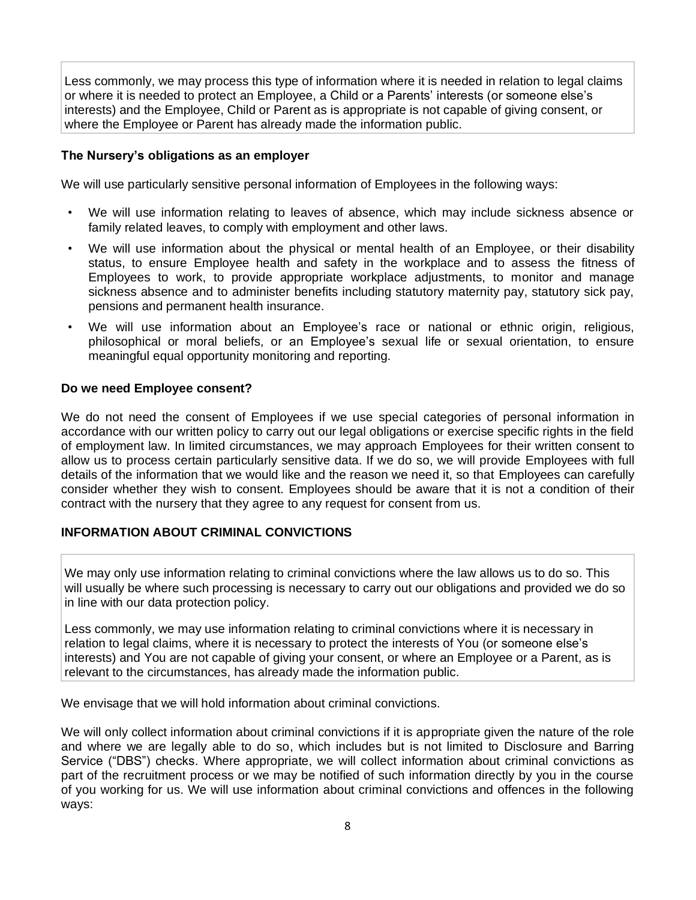Less commonly, we may process this type of information where it is needed in relation to legal claims or where it is needed to protect an Employee, a Child or a Parents' interests (or someone else's interests) and the Employee, Child or Parent as is appropriate is not capable of giving consent, or where the Employee or Parent has already made the information public.

## **The Nursery's obligations as an employer**

We will use particularly sensitive personal information of Employees in the following ways:

- We will use information relating to leaves of absence, which may include sickness absence or family related leaves, to comply with employment and other laws.
- We will use information about the physical or mental health of an Employee, or their disability status, to ensure Employee health and safety in the workplace and to assess the fitness of Employees to work, to provide appropriate workplace adjustments, to monitor and manage sickness absence and to administer benefits including statutory maternity pay, statutory sick pay, pensions and permanent health insurance.
- We will use information about an Employee's race or national or ethnic origin, religious, philosophical or moral beliefs, or an Employee's sexual life or sexual orientation, to ensure meaningful equal opportunity monitoring and reporting.

## **Do we need Employee consent?**

We do not need the consent of Employees if we use special categories of personal information in accordance with our written policy to carry out our legal obligations or exercise specific rights in the field of employment law. In limited circumstances, we may approach Employees for their written consent to allow us to process certain particularly sensitive data. If we do so, we will provide Employees with full details of the information that we would like and the reason we need it, so that Employees can carefully consider whether they wish to consent. Employees should be aware that it is not a condition of their contract with the nursery that they agree to any request for consent from us.

# **INFORMATION ABOUT CRIMINAL CONVICTIONS**

We may only use information relating to criminal convictions where the law allows us to do so. This will usually be where such processing is necessary to carry out our obligations and provided we do so in line with our data protection policy.

Less commonly, we may use information relating to criminal convictions where it is necessary in relation to legal claims, where it is necessary to protect the interests of You (or someone else's interests) and You are not capable of giving your consent, or where an Employee or a Parent, as is relevant to the circumstances, has already made the information public.

We envisage that we will hold information about criminal convictions.

We will only collect information about criminal convictions if it is appropriate given the nature of the role and where we are legally able to do so, which includes but is not limited to Disclosure and Barring Service ("DBS") checks. Where appropriate, we will collect information about criminal convictions as part of the recruitment process or we may be notified of such information directly by you in the course of you working for us. We will use information about criminal convictions and offences in the following ways: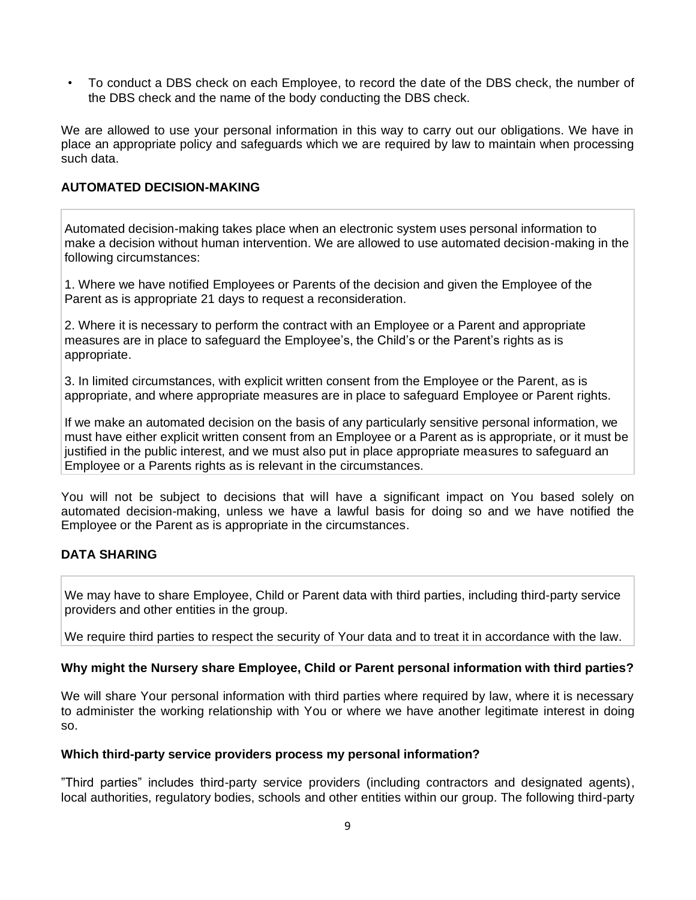• To conduct a DBS check on each Employee, to record the date of the DBS check, the number of the DBS check and the name of the body conducting the DBS check.

We are allowed to use your personal information in this way to carry out our obligations. We have in place an appropriate policy and safeguards which we are required by law to maintain when processing such data.

## **AUTOMATED DECISION-MAKING**

Automated decision-making takes place when an electronic system uses personal information to make a decision without human intervention. We are allowed to use automated decision-making in the following circumstances:

1. Where we have notified Employees or Parents of the decision and given the Employee of the Parent as is appropriate 21 days to request a reconsideration.

2. Where it is necessary to perform the contract with an Employee or a Parent and appropriate measures are in place to safeguard the Employee's, the Child's or the Parent's rights as is appropriate.

3. In limited circumstances, with explicit written consent from the Employee or the Parent, as is appropriate, and where appropriate measures are in place to safeguard Employee or Parent rights.

If we make an automated decision on the basis of any particularly sensitive personal information, we must have either explicit written consent from an Employee or a Parent as is appropriate, or it must be justified in the public interest, and we must also put in place appropriate measures to safeguard an Employee or a Parents rights as is relevant in the circumstances.

You will not be subject to decisions that will have a significant impact on You based solely on automated decision-making, unless we have a lawful basis for doing so and we have notified the Employee or the Parent as is appropriate in the circumstances.

# **DATA SHARING**

We may have to share Employee, Child or Parent data with third parties, including third-party service providers and other entities in the group.

We require third parties to respect the security of Your data and to treat it in accordance with the law.

### **Why might the Nursery share Employee, Child or Parent personal information with third parties?**

We will share Your personal information with third parties where required by law, where it is necessary to administer the working relationship with You or where we have another legitimate interest in doing so.

#### **Which third-party service providers process my personal information?**

"Third parties" includes third-party service providers (including contractors and designated agents), local authorities, regulatory bodies, schools and other entities within our group. The following third-party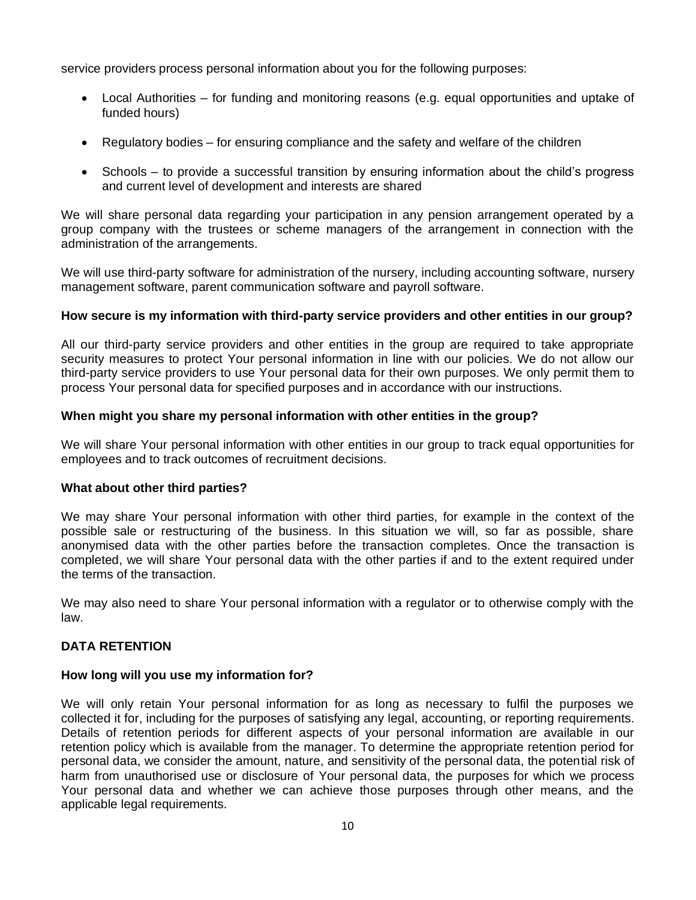service providers process personal information about you for the following purposes:

- Local Authorities for funding and monitoring reasons (e.g. equal opportunities and uptake of funded hours)
- Regulatory bodies for ensuring compliance and the safety and welfare of the children
- Schools to provide a successful transition by ensuring information about the child's progress and current level of development and interests are shared

We will share personal data regarding your participation in any pension arrangement operated by a group company with the trustees or scheme managers of the arrangement in connection with the administration of the arrangements.

We will use third-party software for administration of the nursery, including accounting software, nursery management software, parent communication software and payroll software.

### **How secure is my information with third-party service providers and other entities in our group?**

All our third-party service providers and other entities in the group are required to take appropriate security measures to protect Your personal information in line with our policies. We do not allow our third-party service providers to use Your personal data for their own purposes. We only permit them to process Your personal data for specified purposes and in accordance with our instructions.

### **When might you share my personal information with other entities in the group?**

We will share Your personal information with other entities in our group to track equal opportunities for employees and to track outcomes of recruitment decisions.

### **What about other third parties?**

We may share Your personal information with other third parties, for example in the context of the possible sale or restructuring of the business. In this situation we will, so far as possible, share anonymised data with the other parties before the transaction completes. Once the transaction is completed, we will share Your personal data with the other parties if and to the extent required under the terms of the transaction.

We may also need to share Your personal information with a regulator or to otherwise comply with the law.

# **DATA RETENTION**

### **How long will you use my information for?**

We will only retain Your personal information for as long as necessary to fulfil the purposes we collected it for, including for the purposes of satisfying any legal, accounting, or reporting requirements. Details of retention periods for different aspects of your personal information are available in our retention policy which is available from the manager. To determine the appropriate retention period for personal data, we consider the amount, nature, and sensitivity of the personal data, the potential risk of harm from unauthorised use or disclosure of Your personal data, the purposes for which we process Your personal data and whether we can achieve those purposes through other means, and the applicable legal requirements.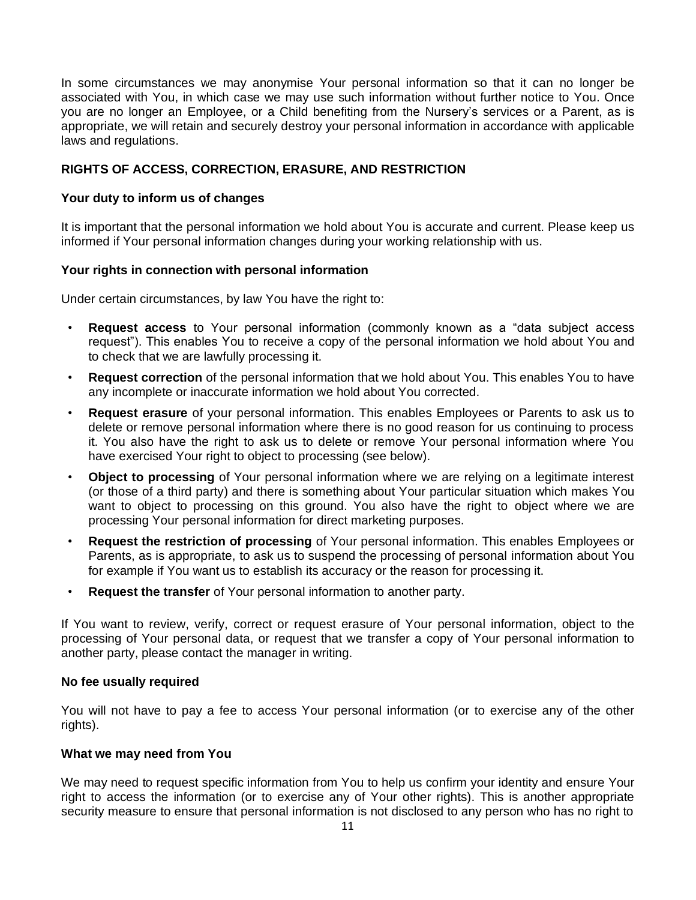In some circumstances we may anonymise Your personal information so that it can no longer be associated with You, in which case we may use such information without further notice to You. Once you are no longer an Employee, or a Child benefiting from the Nursery's services or a Parent, as is appropriate, we will retain and securely destroy your personal information in accordance with applicable laws and regulations.

## **RIGHTS OF ACCESS, CORRECTION, ERASURE, AND RESTRICTION**

### **Your duty to inform us of changes**

It is important that the personal information we hold about You is accurate and current. Please keep us informed if Your personal information changes during your working relationship with us.

#### **Your rights in connection with personal information**

Under certain circumstances, by law You have the right to:

- **Request access** to Your personal information (commonly known as a "data subject access request"). This enables You to receive a copy of the personal information we hold about You and to check that we are lawfully processing it.
- **Request correction** of the personal information that we hold about You. This enables You to have any incomplete or inaccurate information we hold about You corrected.
- **Request erasure** of your personal information. This enables Employees or Parents to ask us to delete or remove personal information where there is no good reason for us continuing to process it. You also have the right to ask us to delete or remove Your personal information where You have exercised Your right to object to processing (see below).
- **Object to processing** of Your personal information where we are relying on a legitimate interest (or those of a third party) and there is something about Your particular situation which makes You want to object to processing on this ground. You also have the right to object where we are processing Your personal information for direct marketing purposes.
- **Request the restriction of processing** of Your personal information. This enables Employees or Parents, as is appropriate, to ask us to suspend the processing of personal information about You for example if You want us to establish its accuracy or the reason for processing it.
- **Request the transfer** of Your personal information to another party.

If You want to review, verify, correct or request erasure of Your personal information, object to the processing of Your personal data, or request that we transfer a copy of Your personal information to another party, please contact the manager in writing.

#### **No fee usually required**

You will not have to pay a fee to access Your personal information (or to exercise any of the other rights).

### **What we may need from You**

We may need to request specific information from You to help us confirm your identity and ensure Your right to access the information (or to exercise any of Your other rights). This is another appropriate security measure to ensure that personal information is not disclosed to any person who has no right to